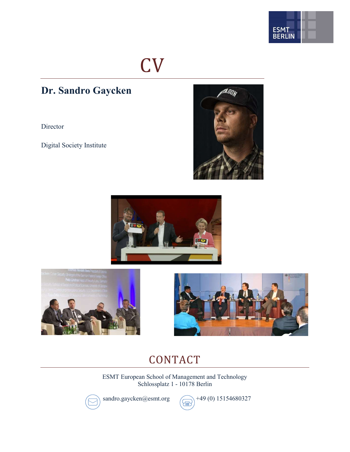

## CV

### Dr. Sandro Gaycken

Director

Digital Society Institute









## CONTACT

ESMT European School of Management and Technology Schlossplatz 1 - 10178 Berlin



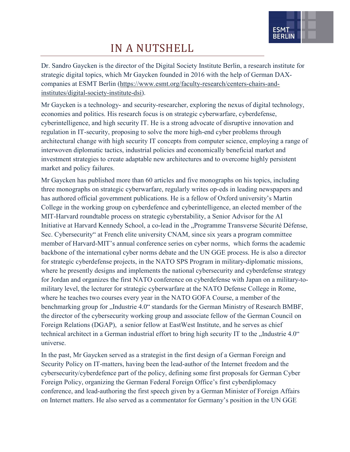

## IN A NUTSHELL

Dr. Sandro Gaycken is the director of the Digital Society Institute Berlin, a research institute for strategic digital topics, which Mr Gaycken founded in 2016 with the help of German DAXcompanies at ESMT Berlin (https://www.esmt.org/faculty-research/centers-chairs-andinstitutes/digital-society-institute-dsi).

Mr Gaycken is a technology- and security-researcher, exploring the nexus of digital technology, economies and politics. His research focus is on strategic cyberwarfare, cyberdefense, cyberintelligence, and high security IT. He is a strong advocate of disruptive innovation and regulation in IT-security, proposing to solve the more high-end cyber problems through architectural change with high security IT concepts from computer science, employing a range of interwoven diplomatic tactics, industrial policies and economically beneficial market and investment strategies to create adaptable new architectures and to overcome highly persistent market and policy failures.

Mr Gaycken has published more than 60 articles and five monographs on his topics, including three monographs on strategic cyberwarfare, regularly writes op-eds in leading newspapers and has authored official government publications. He is a fellow of Oxford university's Martin College in the working group on cyberdefence and cyberintelligence, an elected member of the MIT-Harvard roundtable process on strategic cyberstability, a Senior Advisor for the AI Initiative at Harvard Kennedy School, a co-lead in the "Programme Transverse Sécurité Défense, Sec. Cybersecurity" at French elite university CNAM, since six years a program committee member of Harvard-MIT's annual conference series on cyber norms, which forms the academic backbone of the international cyber norms debate and the UN GGE process. He is also a director for strategic cyberdefense projects, in the NATO SPS Program in military-diplomatic missions, where he presently designs and implements the national cybersecurity and cyberdefense strategy for Jordan and organizes the first NATO conference on cyberdefense with Japan on a military-tomilitary level, the lecturer for strategic cyberwarfare at the NATO Defense College in Rome, where he teaches two courses every year in the NATO GOFA Course, a member of the benchmarking group for "Industrie 4.0" standards for the German Ministry of Research BMBF, the director of the cybersecurity working group and associate fellow of the German Council on Foreign Relations (DGAP), a senior fellow at EastWest Institute, and he serves as chief technical architect in a German industrial effort to bring high security IT to the  $\Lambda$ Industrie 4.0" universe.

In the past, Mr Gaycken served as a strategist in the first design of a German Foreign and Security Policy on IT-matters, having been the lead-author of the Internet freedom and the cybersecurity/cyberdefence part of the policy, defining some first proposals for German Cyber Foreign Policy, organizing the German Federal Foreign Office's first cyberdiplomacy conference, and lead-authoring the first speech given by a German Minister of Foreign Affairs on Internet matters. He also served as a commentator for Germany's position in the UN GGE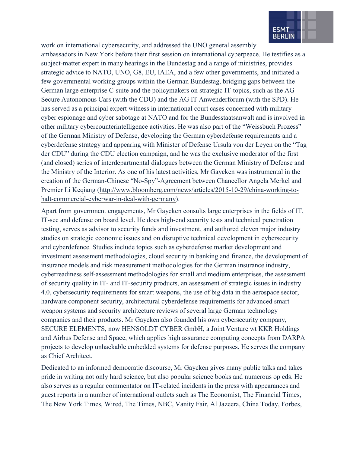

work on international cybersecurity, and addressed the UNO general assembly

ambassadors in New York before their first session on international cyberpeace. He testifies as a subject-matter expert in many hearings in the Bundestag and a range of ministries, provides strategic advice to NATO, UNO, G8, EU, IAEA, and a few other governments, and initiated a few governmental working groups within the German Bundestag, bridging gaps between the German large enterprise C-suite and the policymakers on strategic IT-topics, such as the AG Secure Autonomous Cars (with the CDU) and the AG IT Anwenderforum (with the SPD). He has served as a principal expert witness in international court cases concerned with military cyber espionage and cyber sabotage at NATO and for the Bundesstaatsanwalt and is involved in other military cybercounterintelligence activities. He was also part of the "Weissbuch Prozess" of the German Ministry of Defense, developing the German cyberdefense requirements and a cyberdefense strategy and appearing with Minister of Defense Ursula von der Leyen on the "Tag der CDU" during the CDU election campaign, and he was the exclusive moderator of the first (and closed) series of interdepartmental dialogues between the German Ministry of Defense and the Ministry of the Interior. As one of his latest activities, Mr Gaycken was instrumental in the creation of the German-Chinese "No-Spy"-Agreement between Chancellor Angela Merkel and Premier Li Keqiang (http://www.bloomberg.com/news/articles/2015-10-29/china-working-tohalt-commercial-cyberwar-in-deal-with-germany).

Apart from government engagements, Mr Gaycken consults large enterprises in the fields of IT, IT-sec and defense on board level. He does high-end security tests and technical penetration testing, serves as advisor to security funds and investment, and authored eleven major industry studies on strategic economic issues and on disruptive technical development in cybersecurity and cyberdefence. Studies include topics such as cyberdefense market development and investment assessment methodologies, cloud security in banking and finance, the development of insurance models and risk measurement methodologies for the German insurance industry, cyberreadiness self-assessment methodologies for small and medium enterprises, the assessment of security quality in IT- and IT-security products, an assessment of strategic issues in industry 4.0, cybersecurity requirements for smart weapons, the use of big data in the aerospace sector, hardware component security, architectural cyberdefense requirements for advanced smart weapon systems and security architecture reviews of several large German technology companies and their products. Mr Gaycken also founded his own cybersecurity company, SECURE ELEMENTS, now HENSOLDT CYBER GmbH, a Joint Venture wt KKR Holdings and Airbus Defense and Space, which applies high assurance computing concepts from DARPA projects to develop unhackable embedded systems for defense purposes. He serves the company as Chief Architect.

Dedicated to an informed democratic discourse, Mr Gaycken gives many public talks and takes pride in writing not only hard science, but also popular science books and numerous op eds. He also serves as a regular commentator on IT-related incidents in the press with appearances and guest reports in a number of international outlets such as The Economist, The Financial Times, The New York Times, Wired, The Times, NBC, Vanity Fair, Al Jazeera, China Today, Forbes,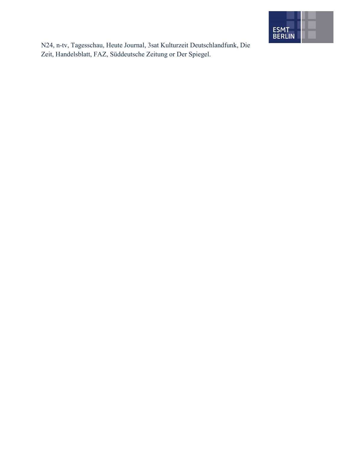

N24, n-tv, Tagesschau, Heute Journal, 3sat Kulturzeit Deutschlandfunk, Die Zeit, Handelsblatt, FAZ, Süddeutsche Zeitung or Der Spiegel.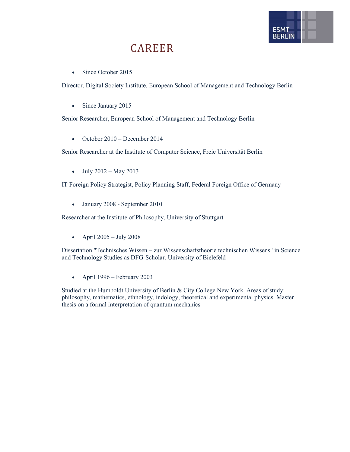

• Since October 2015

Director, Digital Society Institute, European School of Management and Technology Berlin

• Since January 2015

Senior Researcher, European School of Management and Technology Berlin

 $\bullet$  October 2010 – December 2014

Senior Researcher at the Institute of Computer Science, Freie Universität Berlin

 $-$  July 2012 – May 2013

IT Foreign Policy Strategist, Policy Planning Staff, Federal Foreign Office of Germany

January 2008 - September 2010

Researcher at the Institute of Philosophy, University of Stuttgart

• April  $2005 - July 2008$ 

Dissertation "Technisches Wissen – zur Wissenschaftstheorie technischen Wissens" in Science and Technology Studies as DFG-Scholar, University of Bielefeld

• April  $1996$  – February 2003

Studied at the Humboldt University of Berlin & City College New York. Areas of study: philosophy, mathematics, ethnology, indology, theoretical and experimental physics. Master thesis on a formal interpretation of quantum mechanics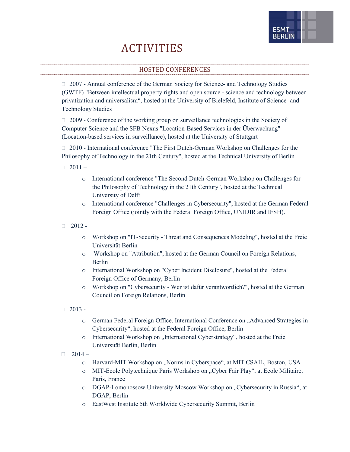# FSM1

### ACTIVITIES

#### HOSTED CONFERENCES

 2007 - Annual conference of the German Society for Science- and Technology Studies (GWTF) "Between intellectual property rights and open source - science and technology between privatization and universalism", hosted at the University of Bielefeld, Institute of Science- and Technology Studies

 $\Box$  2009 - Conference of the working group on surveillance technologies in the Society of Computer Science and the SFB Nexus "Location-Based Services in der Überwachung" (Location-based services in surveillance), hosted at the University of Stuttgart

□ 2010 - International conference "The First Dutch-German Workshop on Challenges for the Philosophy of Technology in the 21th Century", hosted at the Technical University of Berlin

 $\Box$  2011 –

- o International conference "The Second Dutch-German Workshop on Challenges for the Philosophy of Technology in the 21th Century", hosted at the Technical University of Delft
- o International conference "Challenges in Cybersecurity", hosted at the German Federal Foreign Office (jointly with the Federal Foreign Office, UNIDIR and IFSH).
- $\Box$  2012
	- o Workshop on "IT-Security Threat and Consequences Modeling", hosted at the Freie Universität Berlin
	- o Workshop on "Attribution", hosted at the German Council on Foreign Relations, Berlin
	- o International Workshop on "Cyber Incident Disclosure", hosted at the Federal Foreign Office of Germany, Berlin
	- o Workshop on "Cybersecurity Wer ist dafür verantwortlich?", hosted at the German Council on Foreign Relations, Berlin
- $\Box$  2013
	- o German Federal Foreign Office, International Conference on "Advanced Strategies in Cybersecurity", hosted at the Federal Foreign Office, Berlin
	- o International Workshop on "International Cyberstrategy", hosted at the Freie Universität Berlin, Berlin
- $\Box$  2014
	- o Harvard-MIT Workshop on "Norms in Cyberspace", at MIT CSAIL, Boston, USA
	- o MIT-Ecole Polytechnique Paris Workshop on "Cyber Fair Play", at Ecole Militaire, Paris, France
	- o DGAP-Lomonossow University Moscow Workshop on "Cybersecurity in Russia", at DGAP, Berlin
	- o EastWest Institute 5th Worldwide Cybersecurity Summit, Berlin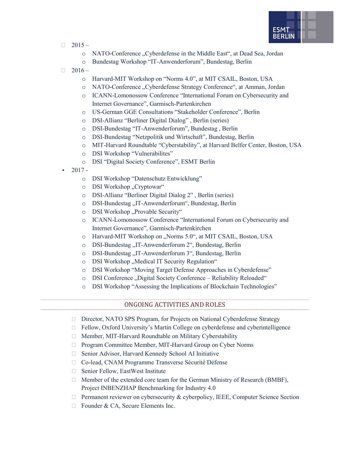

- $\Box$  2015
	- o NATO-Conference "Cyberdefense in the Middle East", at Dead Sea, Jordan
	- o Bundestag Workshop "IT-Anwenderforum", Bundestag, Berlin
- $\Box$  2016
	- o Harvard-MIT Workshop on "Norms 4.0", at MIT CSAIL, Boston, USA
	- o NATO-Conference "Cyberdefense Strategy Conference", at Amman, Jordan
	- o ICANN-Lomonossow Conference "International Forum on Cybersecurity and Internet Governance", Garmisch-Partenkirchen
	- o US-German GGE Consultations "Stakeholder Conference", Berlin
	- o DSI-Allianz "Berliner Digital Dialog" , Berlin (series)
	- o DSI-Bundestag "IT-Anwenderforum", Bundestag , Berlin
	- o DSI-Bundestag "Netzpolitik und Wirtschaft", Bundestag, Berlin
	- o MIT-Harvard Roundtable "Cyberstability", at Harvard Belfer Center, Boston, USA
	- o DSI Workshop "Vulnerabilites"
	- o DSI "Digital Society Conference", ESMT Berlin
- $2017$ 
	- o DSI Workshop "Datenschutz Entwicklung"
	- o DSI Workshop "Cryptowar"
	- o DSI-Allianz "Berliner Digital Dialog 2" , Berlin (series)
	- o DSI-Bundestag "IT-Anwenderforum", Bundestag, Berlin
	- o DSI Workshop "Provable Security"
	- o ICANN-Lomonossow Conference "International Forum on Cybersecurity and Internet Governance", Garmisch-Partenkirchen
	- o Harvard-MIT Workshop on "Norms 5.0", at MIT CSAIL, Boston, USA
	- o DSI-Bundestag "IT-Anwenderforum 2", Bundestag, Berlin
	- o DSI-Bundestag "IT-Anwenderforum 3", Bundestag, Berlin
	- o DSI Workshop "Medical IT Security Regulation"
	- o DSI Workshop "Moving Target Defense Approaches in Cyberdefense"
	- o DSI Conference "Digital Society Conference Reliability Reloaded"
	- o DSI Workshop "Assessing the Implications of Blockchain Technologies"

#### ONGOING ACTIVITIES AND ROLES

- □ Director, NATO SPS Program, for Projects on National Cyberdefense Strategy
- □ Fellow, Oxford University's Martin College on cyberdefense and cyberintelligence
- Member, MIT-Harvard Roundtable on Military Cyberstability
- □ Program Committee Member, MIT-Harvard Group on Cyber Norms
- □ Senior Advisor, Harvard Kennedy School AI Initiative
- □ Co-lead, CNAM Programme Transverse Sécurité Défense
- □ Senior Fellow, EastWest Institute
- □ Member of the extended core team for the German Ministry of Research (BMBF), Project INBENZHAP Benchmarking for Industry 4.0
- $\Box$  Permanent reviewer on cybersecurity & cyberpolicy, IEEE, Computer Science Section
- □ Founder & CA, Secure Elements Inc.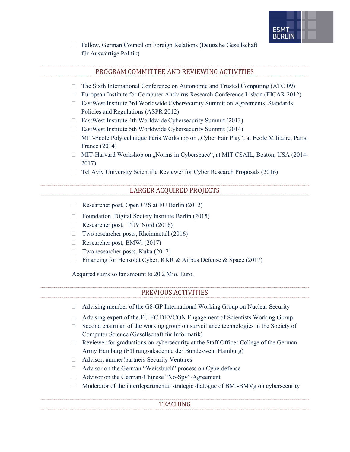

 Fellow, German Council on Foreign Relations (Deutsche Gesellschaft für Auswärtige Politik)

#### PROGRAM COMMITTEE AND REVIEWING ACTIVITIES

- $\Box$  The Sixth International Conference on Autonomic and Trusted Computing (ATC 09)
- European Institute for Computer Antivirus Research Conference Lisbon (EICAR 2012)
- EastWest Institute 3rd Worldwide Cybersecurity Summit on Agreements, Standards, Policies and Regulations (ASPR 2012)
- EastWest Institute 4th Worldwide Cybersecurity Summit (2013)
- $\Box$  EastWest Institute 5th Worldwide Cybersecurity Summit (2014)
- □ MIT-Ecole Polytechnique Paris Workshop on "Cyber Fair Play", at Ecole Militaire, Paris, France (2014)
- $\Box$  MIT-Harvard Workshop on "Norms in Cyberspace", at MIT CSAIL, Boston, USA (2014-2017)
- □ Tel Aviv University Scientific Reviewer for Cyber Research Proposals (2016)

#### LARGER ACQUIRED PROJECTS

- □ Researcher post, Open C3S at FU Berlin (2012)
- $\Box$  Foundation, Digital Society Institute Berlin (2015)
- Researcher post, TÜV Nord (2016)
- $\Box$  Two researcher posts, Rheinmetall (2016)
- Researcher post, BMWi (2017)
- $\Box$  Two researcher posts, Kuka (2017)
- □ Financing for Hensoldt Cyber, KKR & Airbus Defense & Space (2017)

Acquired sums so far amount to 20.2 Mio. Euro.

#### PREVIOUS ACTIVITIES

- Advising member of the G8-GP International Working Group on Nuclear Security
- Advising expert of the EU EC DEVCON Engagement of Scientists Working Group
- $\Box$  Second chairman of the working group on surveillance technologies in the Society of Computer Science (Gesellschaft für Informatik)
- $\Box$  Reviewer for graduations on cybersecurity at the Staff Officer College of the German Army Hamburg (Führungsakademie der Bundeswehr Hamburg)
- Advisor, ammer!partners Security Ventures
- Advisor on the German "Weissbuch" process on Cyberdefense
- □ Advisor on the German-Chinese "No-Spy"-Agreement
- $\Box$  Moderator of the interdepartmental strategic dialogue of BMI-BMVg on cybersecurity

#### TEACHING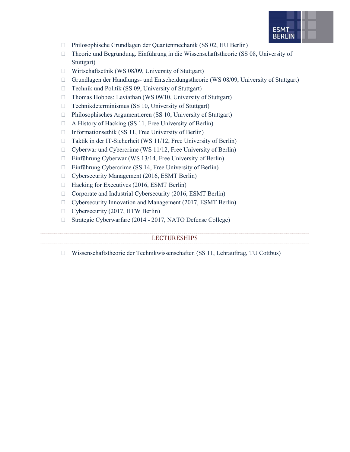

- Philosophische Grundlagen der Quantenmechanik (SS 02, HU Berlin)
- $\Box$  Theorie und Begründung. Einführung in die Wissenschaftstheorie (SS 08, University of Stuttgart)
- $\Box$  Wirtschaftsethik (WS 08/09, University of Stuttgart)
- Grundlagen der Handlungs- und Entscheidungstheorie (WS 08/09, University of Stuttgart)
- $\Box$  Technik und Politik (SS 09, University of Stuttgart)
- $\Box$  Thomas Hobbes: Leviathan (WS 09/10, University of Stuttgart)
- $\Box$  Technikdeterminismus (SS 10, University of Stuttgart)
- $\Box$  Philosophisches Argumentieren (SS 10, University of Stuttgart)
- $\Box$  A History of Hacking (SS 11, Free University of Berlin)
- $\Box$  Informationsethik (SS 11, Free University of Berlin)
- □ Taktik in der IT-Sicherheit (WS 11/12, Free University of Berlin)
- □ Cyberwar und Cybercrime (WS 11/12, Free University of Berlin)
- Einführung Cyberwar (WS 13/14, Free University of Berlin)
- $\Box$  Einführung Cybercrime (SS 14, Free University of Berlin)
- Cybersecurity Management (2016, ESMT Berlin)
- $\Box$  Hacking for Executives (2016, ESMT Berlin)
- □ Corporate and Industrial Cybersecurity (2016, ESMT Berlin)
- Cybersecurity Innovation and Management (2017, ESMT Berlin)
- $\Box$  Cybersecurity (2017, HTW Berlin)
- □ Strategic Cyberwarfare (2014 2017, NATO Defense College)

#### LECTURESHIPS

 $\Box$  Wissenschaftstheorie der Technikwissenschaften (SS 11, Lehrauftrag, TU Cottbus)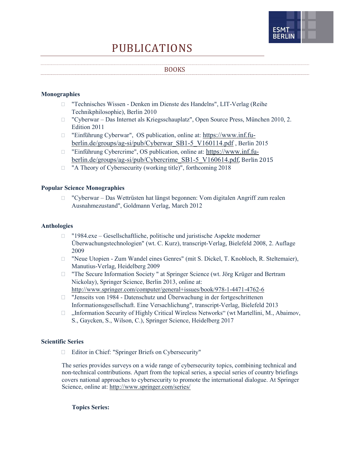# FSM1

## PUBLICATIONS

#### BOOKS

#### Monographies

- "Technisches Wissen Denken im Dienste des Handelns", LIT-Verlag (Reihe Technikphilosophie), Berlin 2010
- "Cyberwar Das Internet als Kriegsschauplatz", Open Source Press, München 2010, 2. Edition 2011
- "Einführung Cyberwar", OS publication, online at: https://www.inf.fuberlin.de/groups/ag-si/pub/Cyberwar\_SB1-5\_V160114.pdf , Berlin 2015
- "Einführung Cybercrime", OS publication, online at: https://www.inf.fuberlin.de/groups/ag-si/pub/Cybercrime\_SB1-5\_V160614.pdf, Berlin 2015
- □ "A Theory of Cybersecurity (working title)", forthcoming 2018

#### Popular Science Monographies

 "Cyberwar – Das Wettrüsten hat längst begonnen: Vom digitalen Angriff zum realen Ausnahmezustand", Goldmann Verlag, March 2012

#### Anthologies

- "1984.exe Gesellschaftliche, politische und juristische Aspekte moderner Überwachungstechnologien" (wt. C. Kurz), transcript-Verlag, Bielefeld 2008, 2. Auflage 2009
- □ "Neue Utopien Zum Wandel eines Genres" (mit S. Dickel, T. Knobloch, R. Steltemaier), Manutius-Verlag, Heidelberg 2009
- "The Secure Information Society " at Springer Science (wt. Jörg Krüger and Bertram Nickolay), Springer Science, Berlin 2013, online at: http://www.springer.com/computer/general+issues/book/978-1-4471-4762-6
- □ "Jenseits von 1984 Datenschutz und Überwachung in der fortgeschrittenen Informationsgesellschaft. Eine Versachlichung", transcript-Verlag, Bielefeld 2013
- $\Box$ , Information Security of Highly Critical Wireless Networks" (wt Martellini, M., Abaimov, S., Gaycken, S., Wilson, C.), Springer Science, Heidelberg 2017

#### Scientific Series

Editor in Chief: "Springer Briefs on Cybersecurity"

The series provides surveys on a wide range of cybersecurity topics, combining technical and non-technical contributions. Apart from the topical series, a special series of country briefings covers national approaches to cybersecurity to promote the international dialogue. At Springer Science, online at: http://www.springer.com/series/

Topics Series: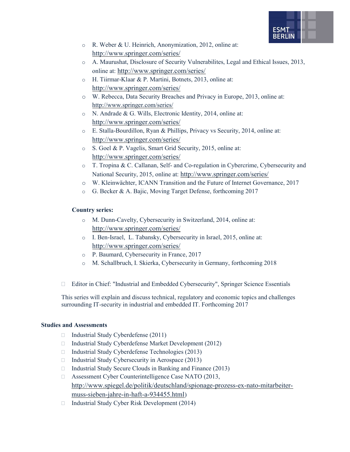

- o R. Weber & U. Heinrich, Anonymization, 2012, online at: http://www.springer.com/series/
- o A. Maurushat, Disclosure of Security Vulnerabilites, Legal and Ethical Issues, 2013, online at: http://www.springer.com/series/
- o H. Tiirmar-Klaar & P. Martini, Botnets, 2013, online at: http://www.springer.com/series/
- o W. Rebecca, Data Security Breaches and Privacy in Europe, 2013, online at: http://www.springer.com/series/
- o N. Andrade & G. Wills, Electronic Identity, 2014, online at: http://www.springer.com/series/
- o E. Stalla-Bourdillon, Ryan & Phillips, Privacy vs Security, 2014, online at: http://www.springer.com/series/
- o S. Goel & P. Vagelis, Smart Grid Security, 2015, online at: http://www.springer.com/series/
- o T. Tropina & C. Callanan, Self- and Co-regulation in Cybercrime, Cybersecurity and National Security, 2015, online at: http://www.springer.com/series/
- o W. Kleinwächter, ICANN Transition and the Future of Internet Governance, 2017
- o G. Becker & A. Bajic, Moving Target Defense, forthcoming 2017

#### Country series:

- o M. Dunn-Cavelty, Cybersecurity in Switzerland, 2014, online at: http://www.springer.com/series/
- o I. Ben-Israel, L. Tabansky, Cybersecurity in Israel, 2015, online at: http://www.springer.com/series/
- o P. Baumard, Cybersecurity in France, 2017
- o M. Schallbruch, I. Skierka, Cybersecurity in Germany, forthcoming 2018
- Editor in Chief: "Industrial and Embedded Cybersecurity", Springer Science Essentials

This series will explain and discuss technical, regulatory and economic topics and challenges surrounding IT-security in industrial and embedded IT. Forthcoming 2017

#### Studies and Assessments

- $\Box$  Industrial Study Cyberdefense (2011)
- $\Box$  Industrial Study Cyberdefense Market Development (2012)
- $\Box$  Industrial Study Cyberdefense Technologies (2013)
- $\Box$  Industrial Study Cybersecurity in Aerospace (2013)
- $\Box$  Industrial Study Secure Clouds in Banking and Finance (2013)
- □ Assessment Cyber Counterintelligence Case NATO (2013, http://www.spiegel.de/politik/deutschland/spionage-prozess-ex-nato-mitarbeitermuss-sieben-jahre-in-haft-a-934455.html)
- $\Box$  Industrial Study Cyber Risk Development (2014)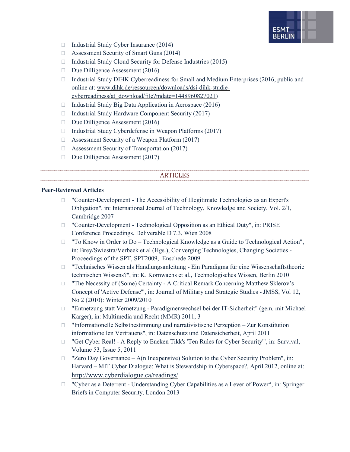

- $\Box$  Industrial Study Cyber Insurance (2014)
- □ Assessment Security of Smart Guns (2014)
- $\Box$  Industrial Study Cloud Security for Defense Industries (2015)
- $\Box$  Due Dilligence Assessment (2016)
- $\Box$  Industrial Study DIHK Cyberreadiness for Small and Medium Enterprises (2016, public and online at: www.dihk.de/ressourcen/downloads/dsi-dihk-studiecyberreadiness/at\_download/file?mdate=1448960827021)
- $\Box$  Industrial Study Big Data Application in Aerospace (2016)
- $\Box$  Industrial Study Hardware Component Security (2017)
- $\Box$  Due Dilligence Assessment (2016)
- $\Box$  Industrial Study Cyberdefense in Weapon Platforms (2017)
- $\Box$  Assessment Security of a Weapon Platform (2017)
- □ Assessment Security of Transportation (2017)
- $\Box$  Due Dilligence Assessment (2017)

#### ARTICLES

#### Peer-Reviewed Articles

- "Counter-Development The Accessibility of Illegitimate Technologies as an Expert's Obligation", in: International Journal of Technology, Knowledge and Society, Vol. 2/1, Cambridge 2007
- □ "Counter-Development Technological Opposition as an Ethical Duty", in: PRISE Conference Proceedings, Deliverable D 7.3, Wien 2008
- □ "To Know in Order to Do Technological Knowledge as a Guide to Technological Action", in: Brey/Swiestra/Verbeek et al (Hgs.), Converging Technologies, Changing Societies - Proceedings of the SPT, SPT2009, Enschede 2009
- "Technisches Wissen als Handlungsanleitung Ein Paradigma für eine Wissenschaftstheorie technischen Wissens?", in: K. Kornwachs et al., Technologisches Wissen, Berlin 2010
- □ "The Necessity of (Some) Certainty A Critical Remark Concerning Matthew Sklerov's Concept of 'Active Defense'", in: Journal of Military and Strategic Studies - JMSS, Vol 12, No 2 (2010): Winter 2009/2010
- "Entnetzung statt Vernetzung Paradigmenwechsel bei der IT-Sicherheit" (gem. mit Michael Karger), in: Multimedia und Recht (MMR) 2011, 3
- $\Box$  "Informationelle Selbstbestimmung und narrativistische Perzeption Zur Konstitution informationellen Vertrauens", in: Datenschutz und Datensicherheit, April 2011
- □ "Get Cyber Real! A Reply to Eneken Tikk's 'Ten Rules for Cyber Security'", in: Survival, Volume 53, Issue 5, 2011
- $\Box$  "Zero Day Governance A(n Inexpensive) Solution to the Cyber Security Problem", in: Harvard – MIT Cyber Dialogue: What is Stewardship in Cyberspace?, April 2012, online at: http://www.cyberdialogue.ca/readings/
- "Cyber as a Deterrent Understanding Cyber Capabilities as a Lever of Power", in: Springer Briefs in Computer Security, London 2013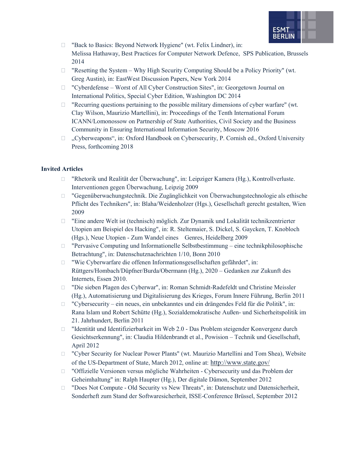

□ "Back to Basics: Beyond Network Hygiene" (wt. Felix Lindner), in: Melissa Hathaway, Best Practices for Computer Network Defence, SPS Publication, Brussels 2014

- $\Box$  "Resetting the System Why High Security Computing Should be a Policy Priority" (wt. Greg Austin), in: EastWest Discussion Papers, New York 2014
- □ "Cyberdefense Worst of All Cyber Construction Sites", in: Georgetown Journal on International Politics, Special Cyber Edition, Washington DC 2014
- $\Box$  "Recurring questions pertaining to the possible military dimensions of cyber warfare" (wt. Clay Wilson, Maurizio Martellini), in: Proceedings of the Tenth International Forum ICANN/Lomonossow on Partnership of State Authorities, Civil Society and the Business Community in Ensuring International Information Security, Moscow 2016
- $\Box$ , Cyberweapons", in: Oxford Handbook on Cybersecurity, P. Cornish ed., Oxford University Press, forthcoming 2018

#### Invited Articles

- "Rhetorik und Realität der Überwachung", in: Leipziger Kamera (Hg.), Kontrollverluste. Interventionen gegen Überwachung, Leipzig 2009
- "Gegenüberwachungstechnik. Die Zugänglichkeit von Überwachungstechnologie als ethische Pflicht des Technikers", in: Blaha/Weidenholzer (Hgs.), Gesellschaft gerecht gestalten, Wien 2009
- $\Box$  "Eine andere Welt ist (technisch) möglich. Zur Dynamik und Lokalität technikzentrierter Utopien am Beispiel des Hacking", in: R. Steltemaier, S. Dickel, S. Gaycken, T. Knobloch (Hgs.), Neue Utopien - Zum Wandel eines Genres, Heidelberg 2009
- $\Box$  "Pervasive Computing und Informationelle Selbstbestimmung eine technikphilosophische Betrachtung", in: Datenschutznachrichten 1/10, Bonn 2010
- "Wie Cyberwarfare die offenen Informationsgesellschaften gefährdet", in: Rüttgers/Hombach/Düpfner/Burda/Obermann (Hg.), 2020 – Gedanken zur Zukunft des Internets, Essen 2010.
- "Die sieben Plagen des Cyberwar", in: Roman Schmidt-Radefeldt und Christine Meissler (Hg.), Automatisierung und Digitalisierung des Krieges, Forum Innere Führung, Berlin 2011
- $\Box$  "Cybersecurity ein neues, ein unbekanntes und ein drängendes Feld für die Politik", in: Rana Islam und Robert Schütte (Hg.), Sozialdemokratische Außen- und Sicherheitspolitik im 21. Jahrhundert, Berlin 2011
- "Identität und Identifizierbarkeit im Web 2.0 Das Problem steigender Konvergenz durch Gesichtserkennung", in: Claudia Hildenbrandt et al., Powision – Technik und Gesellschaft, April 2012
- □ "Cyber Security for Nuclear Power Plants" (wt. Maurizio Martellini and Tom Shea), Website of the US-Department of State, March 2012, online at: http://www.state.gov/
- "Offizielle Versionen versus mögliche Wahrheiten Cybersecurity und das Problem der Geheimhaltung" in: Ralph Haupter (Hg.), Der digitale Dämon, September 2012
- □ "Does Not Compute Old Security vs New Threats", in: Datenschutz und Datensicherheit, Sonderheft zum Stand der Softwaresicherheit, ISSE-Conference Brüssel, September 2012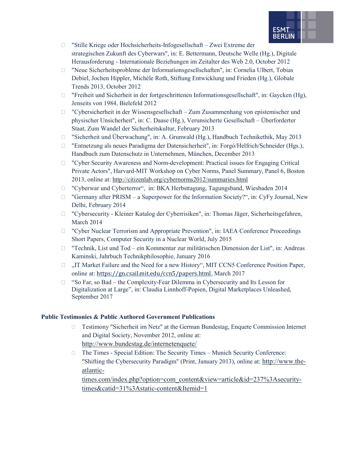

- "Stille Kriege oder Hochsicherheits-Infogesellschaft Zwei Extreme der strategischen Zukunft des Cyberwars", in: E. Bettermann, Deutsche Welle (Hg.), Digitale Herausforderung - Internationale Beziehungen im Zeitalter des Web 2.0, October 2012
- "Neue Sicherheitsprobleme der Informationsgesellschaften", in: Cornelia Ulbert, Tobias Debiel, Jochen Hippler, Michèle Roth, Stiftung Entwicklung und Frieden (Hg.), Globale Trends 2013, October 2012
- $\Box$  "Freiheit und Sicherheit in der fortgeschrittenen Informationsgesellschaft", in: Gaycken (Hg), Jenseits von 1984, Bielefeld 2012
- $\Box$  "Cybersicherheit in der Wissensgesellschaft Zum Zusammenhang von epistemischer und physischer Unsicherheit", in: C. Daase (Hg.), Verunsicherte Gesellschaft – Überforderter Staat, Zum Wandel der Sicherheitskultur, February 2013
- "Sicherheit und Überwachung", in: A. Grunwald (Hg.), Handbuch Technikethik, May 2013
- "Entnetzung als neues Paradigma der Datensicherheit", in: Forgó/Helfrich/Schneider (Hgs.), Handbuch zum Datenschutz in Unternehmen, München, December 2013
- "Cyber Security Awareness and Norm-development: Practical issues for Engaging Critical Private Actors", Harvard-MIT Workshop on Cyber Norms, Panel Summary, Panel 6, Boston 2013, online at: http://citizenlab.org/cybernorms2012/summaries.html
- □ "Cyberwar und Cyberterror", in: BKA Herbsttagung, Tagungsband, Wiesbaden 2014
- $\Box$  "Germany after PRISM a Superpower for the Information Society?", in: CyFy Journal, New Delhi, February 2014
- "Cybersecurity Kleiner Katalog der Cyberrisiken", in: Thomas Jäger, Sicherheitsgefahren, March 2014
- □ "Cyber Nuclear Terrorism and Appropriate Prevention", in: IAEA Conference Proceedings Short Papers, Computer Security in a Nuclear World, July 2015
- "Technik, List und Tod ein Kommentar zur militärischen Dimension der List", in: Andreas Kaminski, Jahrbuch Technikphilosophie, January 2016
- $\Box$  ...IT Market Failure and the Need for a new History", MIT CCN5 Conference Position Paper, online at: https://gn.csail.mit.edu/ccn5/papers.html, March 2017
- $\Box$  "So Far, so Bad the Complexity-Fear Dilemma in Cybersecurity and Its Lesson for Digitalization at Large", in: Claudia Linnhoff-Popien, Digital Marketplaces Unleashed, September 2017

#### Public Testimonies & Public Authored Government Publications

- Testimony "Sicherheit im Netz" at the German Bundestag, Enquete Commission Internet and Digital Society, November 2012, online at: http://www.bundestag.de/internetenquete/
- The Times Special Edition: The Security Times Munich Security Conference: "Shifting the Cybersecurity Paradigm" (Print, January 2013), online at: http://www.theatlantic-

times.com/index.php?option=com\_content&view=article&id=237%3Asecuritytimes&catid=31%3Astatic-content&Itemid=1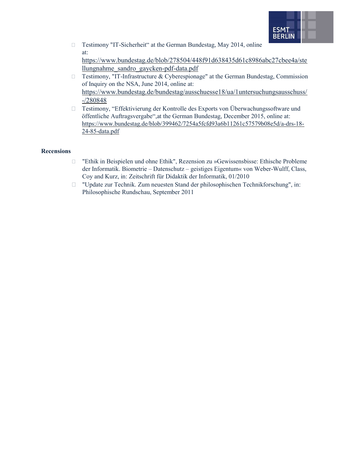

□ Testimony "IT-Sicherheit" at the German Bundestag, May 2014, online at: https://www.bundestag.de/blob/278504/448f91d638435d61c8986abc27cbee4a/ste

llungnahme\_sandro\_gaycken-pdf-data.pdf

- $\Box$  Testimony, "IT-Infrastructure & Cyberespionage" at the German Bundestag, Commission of Inquiry on the NSA, June 2014, online at: https://www.bundestag.de/bundestag/ausschuesse18/ua/1untersuchungsausschuss/ -/280848
- Testimony, "Effektivierung der Kontrolle des Exports von Überwachungssoftware und öffentliche Auftragsvergabe",at the German Bundestag, December 2015, online at: https://www.bundestag.de/blob/399462/7254a5fcfd93a6b11261c57579b08e5d/a-drs-18- 24-85-data.pdf

#### Recensions

- "Ethik in Beispielen und ohne Ethik", Rezension zu »Gewissensbisse: Ethische Probleme der Informatik. Biometrie – Datenschutz – geistiges Eigentum« von Weber-Wulff, Class, Coy and Kurz, in: Zeitschrift für Didaktik der Informatik, 01/2010
- "Update zur Technik. Zum neuesten Stand der philosophischen Technikforschung", in: Philosophische Rundschau, September 2011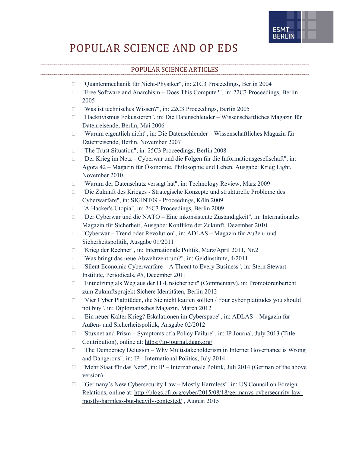

## POPULAR SCIENCE AND OP EDS

#### POPULAR SCIENCE ARTICLES

| $\Box$ | "Quantenmechanik für Nicht-Physiker", in: 21C3 Proceedings, Berlin 2004                                                                  |
|--------|------------------------------------------------------------------------------------------------------------------------------------------|
| $\Box$ | "Free Software and Anarchism - Does This Compute?", in: 22C3 Proceedings, Berlin<br>2005                                                 |
| $\Box$ | "Was ist technisches Wissen?", in: 22C3 Proceedings, Berlin 2005                                                                         |
| $\Box$ | "Hacktivismus Fokussieren", in: Die Datenschleuder - Wissenschaftliches Magazin für                                                      |
|        | Datenreisende, Berlin, Mai 2006                                                                                                          |
| U      | "Warum eigentlich nicht", in: Die Datenschleuder - Wissenschaftliches Magazin für<br>Datenreisende, Berlin, November 2007                |
| $\Box$ | "The Trust Situation", in: 25C3 Proceedings, Berlin 2008                                                                                 |
| $\Box$ | "Der Krieg im Netz - Cyberwar und die Folgen für die Informationsgesellschaft", in:                                                      |
|        | Agora 42 - Magazin für Ökonomie, Philosophie und Leben, Ausgabe: Krieg Light,<br>November 2010.                                          |
| $\Box$ | "Warum der Datenschutz versagt hat", in: Technology Review, März 2009                                                                    |
| U      | "Die Zukunft des Krieges - Strategische Konzepte und strukturelle Probleme des<br>Cyberwarfare", in: SIGINT09 - Proceedings, Köln 2009   |
| $\Box$ | "A Hacker's Utopia", in: 26C3 Proceedings, Berlin 2009                                                                                   |
| $\Box$ | "Der Cyberwar und die NATO - Eine inkonsistente Zuständigkeit", in: Internationales                                                      |
|        | Magazin für Sicherheit, Ausgabe: Konflikte der Zukunft, Dezember 2010.                                                                   |
| $\Box$ | "Cyberwar - Trend oder Revolution", in: ADLAS - Magazin für Außen- und                                                                   |
|        | Sicherheitspolitik, Ausgabe 01/2011                                                                                                      |
| $\Box$ | "Krieg der Rechner", in: Internationale Politik, März/April 2011, Nr.2                                                                   |
| $\Box$ | "Was bringt das neue Abwehrzentrum?", in: Geldinstitute, 4/2011                                                                          |
| $\Box$ | "Silent Economic Cyberwarfare - A Threat to Every Business", in: Stern Stewart                                                           |
|        | Institute, Periodicals, #5, December 2011                                                                                                |
| $\Box$ | "Entnetzung als Weg aus der IT-Unsicherheit" (Commentary), in: Promotorenbericht<br>zum Zukunftsprojekt Sichere Identitäten, Berlin 2012 |
| $\Box$ | "Vier Cyber Plattitüden, die Sie nicht kaufen sollten / Four cyber platitudes you should                                                 |
|        | not buy", in: Diplomatisches Magazin, March 2012                                                                                         |
| $\Box$ | "Ein neuer Kalter Krieg? Eskalationen im Cyberspace", in: ADLAS - Magazin für                                                            |
|        | Außen- und Sicherheitspolitik, Ausgabe 02/2012                                                                                           |
| $\Box$ | "Stuxnet and Prism - Symptoms of a Policy Failure", in: IP Journal, July 2013 (Title                                                     |
|        | Contribution), online at: https://ip-journal.dgap.org/                                                                                   |
| $\Box$ | "The Democracy Delusion - Why Multistakeholderism in Internet Governance is Wrong                                                        |
|        | and Dangerous", in: IP - International Politics, July 2014                                                                               |
| u      | "Mehr Staat für das Netz", in: IP - Internationale Politik, Juli 2014 (German of the above                                               |
|        | version)                                                                                                                                 |
| u      | "Germany's New Cybersecurity Law - Mostly Harmless", in: US Council on Foreign                                                           |
|        | Relations, online at: http://blogs.cfr.org/cyber/2015/08/18/germanys-cybersecurity-law-                                                  |
|        | mostly-harmless-but-heavily-contested/, August 2015                                                                                      |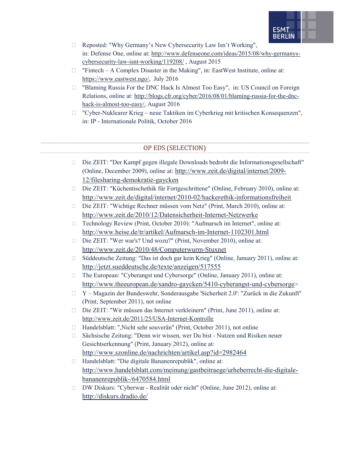

- Reposted: "Why Germany's New Cybersecurity Law Isn't Working", in: Defense One, online at: http://www.defenseone.com/ideas/2015/08/why-germanyscybersecurity-law-isnt-working/119208/ , August 2015
- $\Box$  "Fintech A Complex Disaster in the Making", in: EastWest Institute, online at: https://www.eastwest.ngo/, July 2016
- "Blaming Russia For the DNC Hack Is Almost Too Easy", in: US Council on Foreign Relations, online at: http://blogs.cfr.org/cyber/2016/08/01/blaming-russia-for-the-dnchack-is-almost-too-easy/, August 2016
- "Cyber-Nuklearer Krieg neue Taktiken im Cyberkrieg mit kritischen Konsequenzen", in: IP - Internationale Politik, October 2016

#### OP EDS (SELECTION)

- Die ZEIT: "Der Kampf gegen illegale Downloads bedroht die Informationsgesellschaft" (Online, December 2009), online at: http://www.zeit.de/digital/internet/2009- 12/filesharing-demokratie-gaycken
- Die ZEIT: "Küchentischethik für Fortgeschrittene" (Online, February 2010), online at: http://www.zeit.de/digital/internet/2010-02/hackerethik-informationsfreiheit
- Die ZEIT: "Wichtige Rechner müssen vom Netz" (Print, March 2010), online at: http://www.zeit.de/2010/12/Datensicherheit-Internet-Netzwerke
- □ Technology Review (Print, October 2010): "Aufmarsch im Internet", online at: http://www.heise.de/tr/artikel/Aufmarsch-im-Internet-1102301.html
- Die ZEIT: "Wer war's? Und wozu?" (Print, November 2010), online at: http://www.zeit.de/2010/48/Computerwurm-Stuxnet
- Süddeutsche Zeitung: "Das ist doch gar kein Krieg" (Online, January 2011), online at: http://jetzt.sueddeutsche.de/texte/anzeigen/517555
- □ The European: "Cyberangst und Cybersorge" (Online, January 2011), online at: http://www.theeuropean.de/sandro-gaycken/5410-cyberangst-und-cybersorge>
- Y Magazin der Bundeswehr, Sonderausgabe 'Sicherheit 2.0': "Zurück in die Zukunft" (Print, September 2011), not online
- □ Die ZEIT: "Wir müssen das Internet verkleinern" (Print, June 2011), online at: http://www.zeit.de/2011/25/USA-Internet-Kontrolle
- □ Handelsblatt: ",Nicht sehr souverän" (Print, October 2011), not online
- Sächsische Zeitung: "Denn wir wissen, wer Du bist Nutzen und Risiken neuer Gesichtserkennung" (Print, January 2012), online at: http://www.szonline.de/nachrichten/artikel.asp?id=2982464
- Handelsblatt: "Die digitale Bananenrepublik", online at: http://www.handelsblatt.com/meinung/gastbeitraege/urheberrecht-die-digitalebananenrepublik-/6470584.html
- DW Diskurs: "Cyberwar Realität oder nicht" (Online, June 2012), online at: http://diskurs.dradio.de/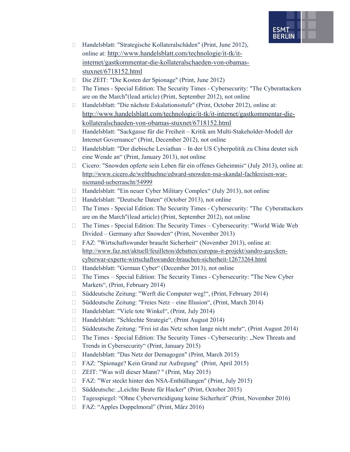

- Handelsblatt: "Strategische Kollateralschäden" (Print, June 2012), online at: http://www.handelsblatt.com/technologie/it-tk/itinternet/gastkommentar-die-kollateralschaeden-von-obamasstuxnet/6718152.html
- Die ZEIT: "Die Kosten der Spionage" (Print, June 2012)
- The Times Special Edition: The Security Times Cybersecurity: "The Cyberattackers are on the March"(lead article) (Print, September 2012), not online
- Handelsblatt: "Die nächste Eskalationsstufe" (Print, October 2012), online at: http://www.handelsblatt.com/technologie/it-tk/it-internet/gastkommentar-diekollateralschaeden-von-obamas-stuxnet/6718152.html
- Handelsblatt: "Sackgasse für die Freiheit Kritik am Multi-Stakeholder-Modell der Internet Governance" (Print, December 2012), not online
- $\Box$  Handelsblatt: "Der diebische Leviathan In der US Cyberpolitik zu China deutet sich eine Wende an" (Print, January 2013), not online
- Cicero: "Snowden opferte sein Leben für ein offenes Geheimnis" (July 2013), online at: http://www.cicero.de/weltbuehne/edward-snowden-nsa-skandal-fachkreisen-warniemand-ueberrascht/54999
- □ Handelsblatt: "Ein neuer Cyber Military Complex" (July 2013), not online
- □ Handelsblatt: "Deutsche Daten" (October 2013), not online
- The Times Special Edition: The Security Times Cybersecurity: "The Cyberattackers are on the March"(lead article) (Print, September 2012), not online
- $\Box$  The Times Special Edition: The Security Times Cybersecurity: "World Wide Web Divided – Germany after Snowden" (Print, November 2013)
- FAZ: "Wirtschaftswunder braucht Sicherheit" (November 2013), online at: http://www.faz.net/aktuell/feuilleton/debatten/europas-it-projekt/sandro-gayckencyberwar-experte-wirtschaftswunder-brauchen-sicherheit-12673264.html
- □ Handelsblatt: "German Cyber" (December 2013), not online
- The Times Special Edition: The Security Times Cybersecurity: "The New Cyber Markets", (Print, February 2014)
- Süddeutsche Zeitung: "Werft die Computer weg!", (Print, February 2014)
- Süddeutsche Zeitung: "Freies Netz eine Illusion", (Print, March 2014)
- □ Handelsblatt: "Viele tote Winkel", (Print, July 2014)
- □ Handelsblatt: "Schlechte Strategie", (Print August 2014)
- Süddeutsche Zeitung: "Frei ist das Netz schon lange nicht mehr", (Print August 2014)
- $\Box$  The Times Special Edition: The Security Times Cybersecurity: "New Threats and Trends in Cybersecurity" (Print, January 2015)
- Handelsblatt: "Das Netz der Demagogen" (Print, March 2015)
- FAZ: "Spionage? Kein Grund zur Aufregung" (Print, April 2015)
- ZEIT: "Was will dieser Mann? " (Print, May 2015)
- FAZ: "Wer steckt hinter den NSA-Enthüllungen" (Print, July 2015)
- □ Süddeutsche: "Leichte Beute für Hacker" (Print, October 2015)
- Tagesspiegel: "Ohne Cyberverteidigung keine Sicherheit" (Print, November 2016)
- FAZ: "Apples Doppelmoral" (Print, März 2016)